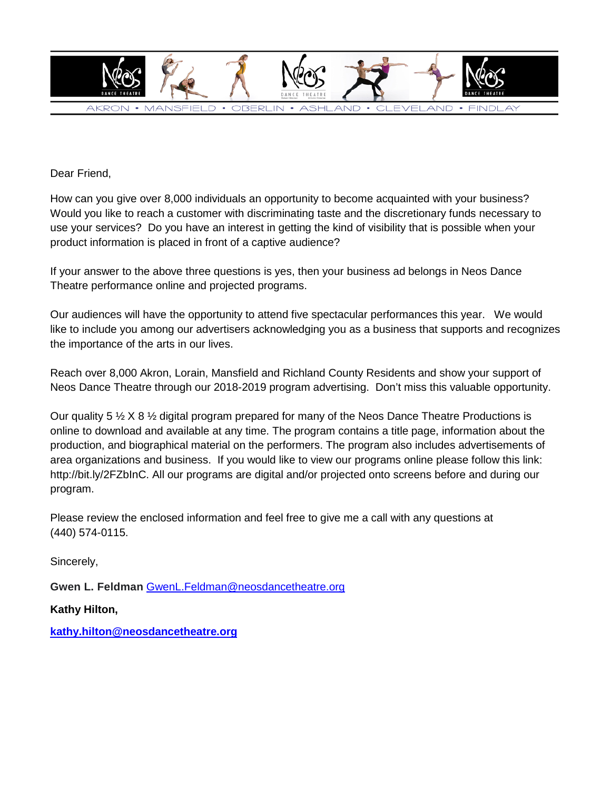

Dear Friend,

How can you give over 8,000 individuals an opportunity to become acquainted with your business? Would you like to reach a customer with discriminating taste and the discretionary funds necessary to use your services? Do you have an interest in getting the kind of visibility that is possible when your product information is placed in front of a captive audience?

If your answer to the above three questions is yes, then your business ad belongs in Neos Dance Theatre performance online and projected programs.

Our audiences will have the opportunity to attend five spectacular performances this year. We would like to include you among our advertisers acknowledging you as a business that supports and recognizes the importance of the arts in our lives.

Reach over 8,000 Akron, Lorain, Mansfield and Richland County Residents and show your support of Neos Dance Theatre through our 2018-2019 program advertising. Don't miss this valuable opportunity.

Our quality 5  $\frac{1}{2}$  X 8  $\frac{1}{2}$  digital program prepared for many of the Neos Dance Theatre Productions is online to download and available at any time. The program contains a title page, information about the production, and biographical material on the performers. The program also includes advertisements of area organizations and business. If you would like to view our programs online please follow this link: http://bit.ly/2FZbInC. All our programs are digital and/or projected onto screens before and during our program.

Please review the enclosed information and feel free to give me a call with any questions at (440) 574-0115.

Sincerely,

**Gwen L. Feldman** [GwenL.Feldman@neosdancetheatre.org](mailto:GwenL.Feldman@neosdancetheatre.org)

**Kathy Hilton,**

**[kathy.hilton@neosdancetheatre.org](mailto:kathy.hilton@neosdancetheatre.org)**